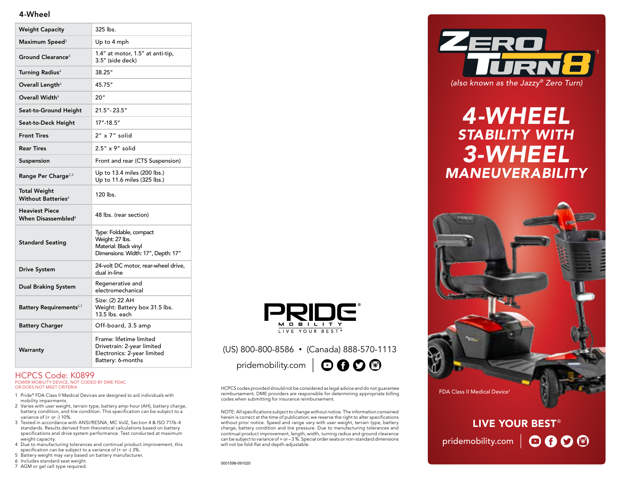### 4-Wheel

| <b>Weight Capacity</b>                                  | 325 lbs.                                                                                                  |
|---------------------------------------------------------|-----------------------------------------------------------------------------------------------------------|
| Maximum Speed <sup>2</sup>                              | Up to 4 mph                                                                                               |
| Ground Clearance <sup>4</sup>                           | 1.4" at motor, 1.5" at anti-tip,<br>3.5" (side deck)                                                      |
| Turning Radius <sup>4</sup>                             | 38.25"                                                                                                    |
| Overall Length $^4$                                     | 45.75"                                                                                                    |
| Overall Width <sup>4</sup>                              | 20"                                                                                                       |
| Seat-to-Ground Height                                   | $21.5" - 23.5"$                                                                                           |
| Seat-to-Deck Height                                     | 17"-18.5"                                                                                                 |
| <b>Front Tires</b>                                      | 2" x 7" solid                                                                                             |
| <b>Rear Tires</b>                                       | 2.5" x 9" solid                                                                                           |
| Suspension                                              | Front and rear (CTS Suspension)                                                                           |
| Range Per Charge <sup>2,3</sup>                         | Up to 13.4 miles (200 lbs.)<br>Up to 11.6 miles (325 lbs.)                                                |
| Total Weight<br>Without Batteries <sup>6</sup>          | 120 lbs.                                                                                                  |
| <b>Heaviest Piece</b><br>When Disassembled <sup>4</sup> | 48 lbs. (rear section)                                                                                    |
| <b>Standard Seating</b>                                 | Type: Foldable, compact<br>Weight: 27 lbs.<br>Material: Black vinyl<br>Dimensions: Width: 17", Depth: 17" |
| <b>Drive System</b>                                     | 24-volt DC motor, rear-wheel drive,<br>dual in-line                                                       |
| Dual Braking System                                     | Regenerative and<br>electromechanical                                                                     |
| Battery Requirements <sup>5,7</sup>                     | Size: (2) 22 AH<br>Weight: Battery box 31.5 lbs.<br>13.5 lbs. each                                        |
| <b>Battery Charger</b>                                  | Off-board, 3.5 amp                                                                                        |
| Warranty                                                | Frame: lifetime limited<br>Drivetrain: 2-year limited<br>Electronics: 2-year limited<br>Battery: 6-months |

#### HCPCS Code: K0899 POWER MOBILITY DEVICE, NOT CODED BY DME PDAC

OR DOES NOT MEET CRITERIA

- 1 Pride® FDA Class II Medical Devices are designed to aid individuals with mobility impairments.
- 2 Varies with user weight, terrain type, battery amp-hour (AH), battery charge, battery condition, and tire condition. This specification can be subject to a variance of (+ or -) 10%.
- 3 Tested in accordance with ANSI/RESNA, MC Vol2, Section 4 & ISO 7176-4 standards. Results derived from theoretical calculations based on battery specifications and drive system performance. Test conducted at maximum weight capacity.
- 4 Due to manufacturing tolerances and continual product improvement, this specification can be subject to a variance of (+ or -) 3%.
- 5 Battery weight may vary based on battery manufacturer.
- 6 Includes standard seat weight.
- 7 AGM or gel cell type required.



## (US) 800-800-8586 • (Canada) 888-570-1113

0001598-091020



HCPCS codes provided should not be considered as legal advice and do not guarantee reimbursement. DME providers are responsible for determining appropriate billing codes when submitting for insurance reimbursement.

NOTE: All specifications subject to change without notice. The information contained herein is correct at the time of publication; we reserve the right to alter specifications without prior notice. Speed and range vary with user weight, terrain type, battery charge, battery condition and tire pressure. Due to manufacturing tolerances and continual product improvement, length, width, turning radius and ground clearance can be subject to variance of + or – 3 %. Special order seats or non-standard dimensions will not be fold-flat and depth-adjustable.



# *4-WHEEL STABILITY WITH 3-WHEEL MANEUVERABILITY*